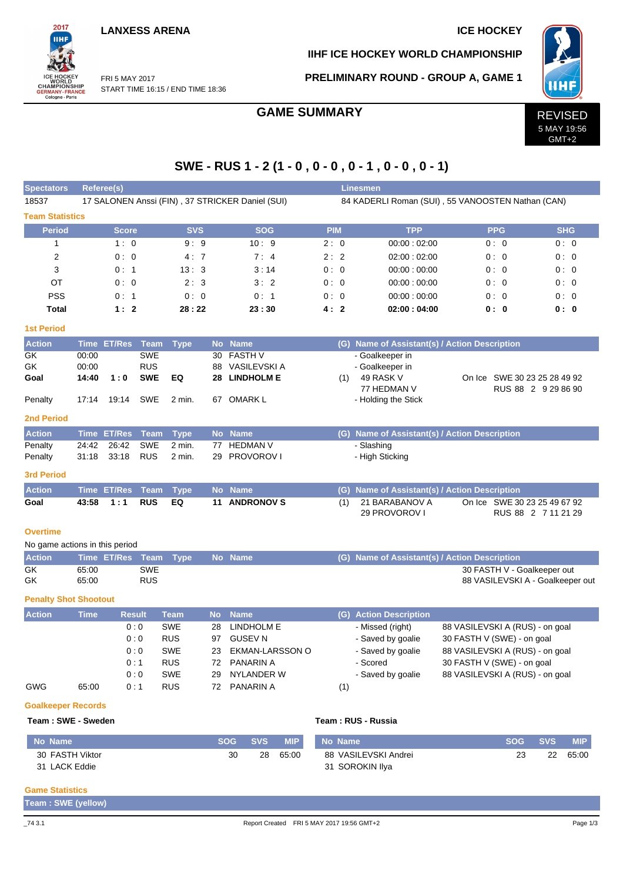**LANXESS ARENA ICE HOCKEY** 

START TIME 16:15 / END TIME 18:36

FRI 5 MAY 2017

2017 iщ

WORLD<br>CHAMPIONSHIP<br>GERMANY-FRANCE<br>Cologne - Paris

**IIHF ICE HOCKEY WORLD CHAMPIONSHIP**

**PRELIMINARY ROUND - GROUP A, GAME 1**



GMT+2

# **SWE - RUS 1 - 2 (1 - 0 , 0 - 0 , 0 - 1 , 0 - 0 , 0 - 1)**

| <b>Spectators</b>              | Referee(s)                                       |                    |               |                       |           |                                           |             |                                           | <b>Linesmen</b>                                                                 |                                               |                          |  |  |  |  |  |  |  |  |  |  |
|--------------------------------|--------------------------------------------------|--------------------|---------------|-----------------------|-----------|-------------------------------------------|-------------|-------------------------------------------|---------------------------------------------------------------------------------|-----------------------------------------------|--------------------------|--|--|--|--|--|--|--|--|--|--|
| 18537                          | 17 SALONEN Anssi (FIN), 37 STRICKER Daniel (SUI) |                    |               |                       |           |                                           |             |                                           | 84 KADERLI Roman (SUI), 55 VANOOSTEN Nathan (CAN)                               |                                               |                          |  |  |  |  |  |  |  |  |  |  |
| <b>Team Statistics</b>         |                                                  |                    |               |                       |           |                                           |             |                                           |                                                                                 |                                               |                          |  |  |  |  |  |  |  |  |  |  |
| <b>Period</b>                  |                                                  | <b>Score</b>       |               | <b>SVS</b>            |           | <b>SOG</b>                                | <b>PIM</b>  |                                           | <b>TPP</b>                                                                      | <b>PPG</b>                                    | <b>SHG</b>               |  |  |  |  |  |  |  |  |  |  |
| 1                              |                                                  | 1:0                |               | 9:9                   |           | 10:9                                      | 2:0         |                                           | 00:00:02:00                                                                     | 0:0                                           | 0:0                      |  |  |  |  |  |  |  |  |  |  |
| $\overline{2}$                 |                                                  | 0:0                |               | 4:7                   |           | 7:4                                       | 2:2         |                                           | 02:00:02:00                                                                     | 0:0                                           | 0:0                      |  |  |  |  |  |  |  |  |  |  |
| 3                              |                                                  | 0: 1               |               | 13:3                  |           | 3:14                                      | 0:0         |                                           | 00:00:00:00                                                                     | 0:0                                           | 0:0                      |  |  |  |  |  |  |  |  |  |  |
| ОT                             |                                                  | 0:0<br>2:3         |               |                       | 3:2       | 0:0                                       |             | 00:00:00:00                               | 0:0                                                                             | 0:0                                           |                          |  |  |  |  |  |  |  |  |  |  |
| <b>PSS</b>                     | 0:1<br>0:0                                       |                    |               | 0:1                   | 0:0       |                                           | 00:00:00:00 | 0:0                                       | 0:0                                                                             |                                               |                          |  |  |  |  |  |  |  |  |  |  |
| <b>Total</b>                   | 1:2<br>28:22                                     |                    |               |                       | 23:30     | 4:2                                       |             | 02:00:04:00                               | 0: 0                                                                            | 0:0                                           |                          |  |  |  |  |  |  |  |  |  |  |
| <b>1st Period</b>              |                                                  |                    |               |                       |           |                                           |             |                                           |                                                                                 |                                               |                          |  |  |  |  |  |  |  |  |  |  |
| <b>Action</b>                  |                                                  | Time ET/Res Team   |               | <b>Type</b>           |           | No Name                                   |             |                                           |                                                                                 | (G) Name of Assistant(s) / Action Description |                          |  |  |  |  |  |  |  |  |  |  |
| GK                             | 00:00                                            |                    | <b>SWE</b>    |                       | 30        | <b>FASTH V</b>                            |             |                                           | - Goalkeeper in                                                                 |                                               |                          |  |  |  |  |  |  |  |  |  |  |
| GK                             | 00:00                                            |                    | <b>RUS</b>    |                       | 88        | VASILEVSKI A                              |             |                                           | - Goalkeeper in                                                                 |                                               |                          |  |  |  |  |  |  |  |  |  |  |
| Goal                           | 14:40                                            | 1:0                | <b>SWE</b>    | EQ                    | 28        | <b>LINDHOLM E</b>                         |             | (1)                                       | 49 RASK V<br>On Ice SWE 30 23 25 28 49 92<br>77 HEDMAN V<br>RUS 88 2 9 29 86 90 |                                               |                          |  |  |  |  |  |  |  |  |  |  |
| Penalty                        | 17:14                                            | 19:14              | SWE           | 2 min.                |           | 67 OMARK L                                |             |                                           | - Holding the Stick                                                             |                                               |                          |  |  |  |  |  |  |  |  |  |  |
| <b>2nd Period</b>              |                                                  |                    |               |                       |           |                                           |             |                                           |                                                                                 |                                               |                          |  |  |  |  |  |  |  |  |  |  |
| <b>Action</b>                  |                                                  | Time ET/Res        | Team          |                       |           | No Name                                   |             |                                           |                                                                                 | (G) Name of Assistant(s) / Action Description |                          |  |  |  |  |  |  |  |  |  |  |
| Penalty                        | 24:42                                            | 26:42              | SWE           | <b>Type</b><br>2 min. | 77        | <b>HEDMAN V</b>                           |             |                                           | - Slashing                                                                      |                                               |                          |  |  |  |  |  |  |  |  |  |  |
| Penalty                        | 31:18                                            | 33:18              | <b>RUS</b>    | 2 min.                | 29        | <b>PROVOROV I</b>                         |             |                                           | - High Sticking                                                                 |                                               |                          |  |  |  |  |  |  |  |  |  |  |
| <b>3rd Period</b>              |                                                  |                    |               |                       |           |                                           |             |                                           |                                                                                 |                                               |                          |  |  |  |  |  |  |  |  |  |  |
| <b>Action</b>                  |                                                  | <b>Time ET/Res</b> | <b>Team</b>   | <b>Type</b>           |           | No Name                                   |             |                                           |                                                                                 | (G) Name of Assistant(s) / Action Description |                          |  |  |  |  |  |  |  |  |  |  |
| Goal                           | 43:58                                            | 1:1                | <b>RUS</b>    | EQ                    | 11        | <b>ANDRONOV S</b>                         |             | (1)                                       | 21 BARABANOV A                                                                  | On Ice SWE 30 23 25 49 67 92                  |                          |  |  |  |  |  |  |  |  |  |  |
|                                |                                                  |                    |               |                       |           |                                           |             |                                           | 29 PROVOROV I                                                                   |                                               | RUS 88 2 7 11 21 29      |  |  |  |  |  |  |  |  |  |  |
| <b>Overtime</b>                |                                                  |                    |               |                       |           |                                           |             |                                           |                                                                                 |                                               |                          |  |  |  |  |  |  |  |  |  |  |
| No game actions in this period |                                                  |                    |               |                       |           |                                           |             |                                           |                                                                                 |                                               |                          |  |  |  |  |  |  |  |  |  |  |
| <b>Action</b>                  |                                                  | Time ET/Res Team   |               | <b>Type</b>           |           | No Name                                   |             |                                           |                                                                                 | (G) Name of Assistant(s) / Action Description |                          |  |  |  |  |  |  |  |  |  |  |
| GK                             | 65.00                                            |                    | <b>SWE</b>    |                       |           |                                           |             |                                           |                                                                                 | 30 FASTH V - Goalkeeper out                   |                          |  |  |  |  |  |  |  |  |  |  |
| GK                             | <b>RUS</b><br>65:00                              |                    |               |                       |           |                                           |             |                                           |                                                                                 | 88 VASILEVSKI A - Goalkeeper out              |                          |  |  |  |  |  |  |  |  |  |  |
| <b>Penalty Shot Shootout</b>   |                                                  |                    |               |                       |           |                                           |             |                                           |                                                                                 |                                               |                          |  |  |  |  |  |  |  |  |  |  |
| <b>Action</b>                  | Time                                             |                    | <b>Result</b> | <b>Team</b>           | <b>No</b> | <b>Name</b>                               |             |                                           | (G) Action Description                                                          |                                               |                          |  |  |  |  |  |  |  |  |  |  |
|                                |                                                  |                    | 0:0           | SWE                   | 28        | LINDHOLM E                                |             |                                           | - Missed (right)                                                                | 88 VASILEVSKI A (RUS) - on goal               |                          |  |  |  |  |  |  |  |  |  |  |
|                                |                                                  |                    | 0:0           | <b>RUS</b>            |           | 97 GUSEV N                                |             |                                           | - Saved by goalie                                                               | 30 FASTH V (SWE) - on goal                    |                          |  |  |  |  |  |  |  |  |  |  |
|                                |                                                  |                    | $0:0$         | SWE                   | 23        | EKMAN-LARSSON O                           |             |                                           | Saved by goalie                                                                 | 88 VASILEVSKI A (RUS) - on goal               |                          |  |  |  |  |  |  |  |  |  |  |
|                                |                                                  |                    | 0:1           | <b>RUS</b>            | 72        | <b>PANARIN A</b>                          |             |                                           | - Scored                                                                        | 30 FASTH V (SWE) - on goal                    |                          |  |  |  |  |  |  |  |  |  |  |
|                                |                                                  |                    | 0:0           | SWE                   | 29        | NYLANDER W                                |             |                                           | - Saved by goalie                                                               | 88 VASILEVSKI A (RUS) - on goal               |                          |  |  |  |  |  |  |  |  |  |  |
| <b>GWG</b>                     | 65:00                                            |                    | 0:1           | <b>RUS</b>            | 72        | PANARIN A                                 |             | (1)                                       |                                                                                 |                                               |                          |  |  |  |  |  |  |  |  |  |  |
| <b>Goalkeeper Records</b>      |                                                  |                    |               |                       |           |                                           |             |                                           |                                                                                 |                                               |                          |  |  |  |  |  |  |  |  |  |  |
| Team: SWE - Sweden             |                                                  |                    |               |                       |           |                                           |             |                                           | Team: RUS - Russia                                                              |                                               |                          |  |  |  |  |  |  |  |  |  |  |
| <b>No Name</b>                 |                                                  |                    |               |                       |           | <b>SOG</b><br><b>SVS</b><br><b>MIP</b>    |             | No Name                                   |                                                                                 | <b>SOG</b>                                    | <b>SVS</b><br><b>MIP</b> |  |  |  |  |  |  |  |  |  |  |
| 30 FASTH Viktor                |                                                  |                    |               |                       |           | 30<br>28<br>65:00                         |             | 88 VASILEVSKI Andrei<br>23<br>22<br>65:00 |                                                                                 |                                               |                          |  |  |  |  |  |  |  |  |  |  |
| 31 LACK Eddie                  |                                                  |                    |               |                       |           |                                           |             | 31 SOROKIN Ilya                           |                                                                                 |                                               |                          |  |  |  |  |  |  |  |  |  |  |
|                                |                                                  |                    |               |                       |           |                                           |             |                                           |                                                                                 |                                               |                          |  |  |  |  |  |  |  |  |  |  |
| <b>Game Statistics</b>         |                                                  |                    |               |                       |           |                                           |             |                                           |                                                                                 |                                               |                          |  |  |  |  |  |  |  |  |  |  |
| Team: SWE (yellow)             |                                                  |                    |               |                       |           |                                           |             |                                           |                                                                                 |                                               |                          |  |  |  |  |  |  |  |  |  |  |
| $\_743.1$                      |                                                  |                    |               |                       |           | Report Created FRI 5 MAY 2017 19:56 GMT+2 |             |                                           |                                                                                 |                                               | Page 1/3                 |  |  |  |  |  |  |  |  |  |  |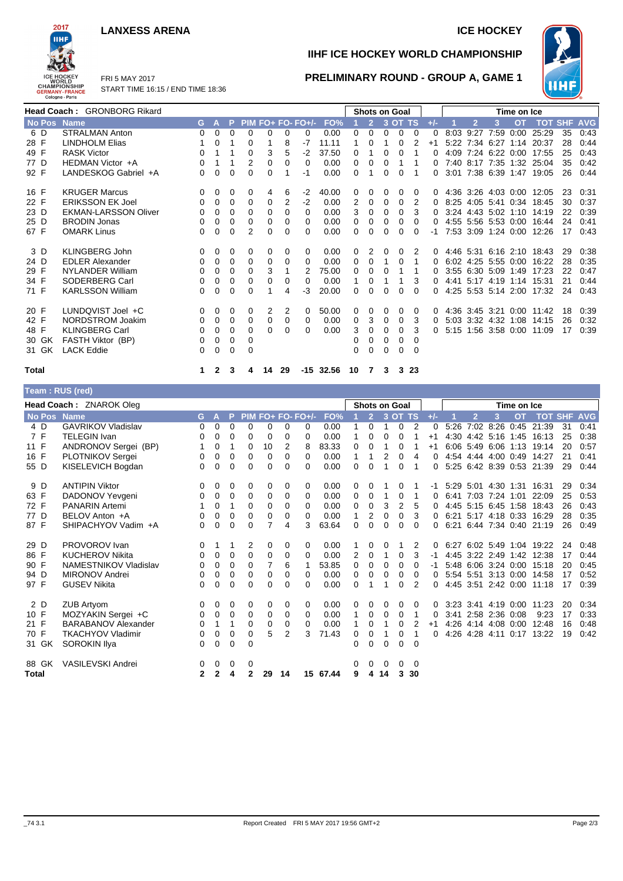### **LANXESS ARENA ICE HOCKEY**



FRI 5 MAY 2017 START TIME 16:15 / END TIME 18:36

# **IIHF ICE HOCKEY WORLD CHAMPIONSHIP**



### **PRELIMINARY ROUND - GROUP A, GAME 1**

| <b>Head Coach: GRONBORG Rikard</b> |                             |          |              |   |   |    |          |                   |             | <b>Shots on Goal</b> |   |   |         |          |       | Time on Ice |                |                     |           |                           |            |            |  |
|------------------------------------|-----------------------------|----------|--------------|---|---|----|----------|-------------------|-------------|----------------------|---|---|---------|----------|-------|-------------|----------------|---------------------|-----------|---------------------------|------------|------------|--|
| No Pos Name                        |                             | G.       |              |   |   |    |          | PIM FO+ FO- FO+/- | FO%         |                      | 2 |   | 3 OT TS |          | $+/-$ |             |                | 3                   | <b>OT</b> | <b>TOT</b>                | <b>SHF</b> | <b>AVG</b> |  |
| 6 D                                | <b>STRALMAN Anton</b>       | 0        | 0            | 0 | 0 | 0  | 0        | 0                 | 0.00        | 0                    | 0 | 0 | 0       | 0        | 0     | 8:03        | 9:27           | 7:59                | 0:00      | 25:29                     | 35         | 0:43       |  |
| 28 F                               | <b>LINDHOLM Elias</b>       |          | 0            |   | 0 |    | 8        | -7                | 11.11       |                      | 0 |   | 0       |          | $+1$  |             |                |                     |           | 5:22 7:34 6:27 1:14 20:37 | 28         | 0:44       |  |
| 49 F                               | <b>RASK Victor</b>          | 0        |              |   | 0 | 3  | 5        | $-2$              | 37.50       | 0                    |   | 0 | 0       |          | ი     | 4:09        |                | 7:24 6:22           | 0:00      | 17:55                     | 25         | 0:43       |  |
| 77 D                               | HEDMAN Victor +A            | $\Omega$ |              |   | 2 | 0  | $\Omega$ | $\Omega$          | 0.00        | 0                    | 0 | 0 |         |          | 0     |             |                |                     |           | 7:40 8:17 7:35 1:32 25:04 | 35         | 0:42       |  |
| 92 F                               | LANDESKOG Gabriel +A        | 0        | 0            | 0 | 0 | 0  |          | -1                | 0.00        | 0                    |   | 0 | 0       |          | 0     |             |                |                     |           | 3:01 7:38 6:39 1:47 19:05 | 26         | 0:44       |  |
| 16 F                               | <b>KRUGER Marcus</b>        | $\Omega$ | 0            | 0 | 0 | 4  | 6        | $-2$              | 40.00       | 0                    | 0 | 0 | 0       | 0        | 0     |             |                | 4:36 3:26 4:03 0:00 |           | 12:05                     | 23         | 0:31       |  |
| 22 F                               | <b>ERIKSSON EK Joel</b>     | 0        | 0            | 0 | 0 | 0  | 2        | $-2$              | 0.00        | 2                    | 0 | 0 | 0       | 2        | 0     |             |                | 8:25 4:05 5:41 0:34 |           | 18:45                     | 30         | 0:37       |  |
| 23 D                               | <b>EKMAN-LARSSON Oliver</b> | 0        | 0            | 0 | 0 | 0  | $\Omega$ | 0                 | 0.00        | 3                    | 0 | 0 | 0       | 3        | 0     |             |                | 3:24 4:43 5:02 1:10 |           | 14:19                     | 22         | 0:39       |  |
| 25 D                               | <b>BRODIN Jonas</b>         | 0        | 0            | 0 | 0 | 0  | 0        | 0                 | 0.00        | 0                    | 0 | 0 | 0       | 0        | 0     |             |                | 4:55 5:56 5:53 0:00 |           | 16:44                     | 24         | 0:41       |  |
| 67 F                               | <b>OMARK Linus</b>          | 0        | 0            | 0 | 2 | 0  | 0        | 0                 | 0.00        | 0                    | 0 | 0 | 0       | 0        | -1    |             |                | 7:53 3:09 1:24 0:00 |           | 12:26                     | 17         | 0:43       |  |
| 3 D                                | <b>KLINGBERG John</b>       | $\Omega$ | 0            | 0 | 0 | 0  | 0        | 0                 | 0.00        | 0                    | 2 | 0 | 0       |          | 0     |             |                | 4:46 5:31 6:16 2:10 |           | 18:43                     | 29         | 0:38       |  |
| 24 D                               | <b>EDLER Alexander</b>      | 0        | 0            | 0 | 0 | 0  | $\Omega$ | 0                 | 0.00        | 0                    | 0 |   | 0       |          | 0     |             |                | 6:02 4:25 5:55 0:00 |           | 16:22                     | 28         | 0:35       |  |
| 29 F                               | <b>NYLANDER William</b>     | 0        | 0            | 0 | 0 | 3  |          |                   | 75.00       | 0                    | 0 | 0 |         |          | 0     |             |                | 3:55 6:30 5:09 1:49 |           | 17:23                     | 22         | 0:47       |  |
| 34 F                               | SODERBERG Carl              | 0        | 0            | 0 | 0 | 0  | 0        | 0                 | 0.00        |                      | 0 |   |         | 3        | 0     |             |                | 4:41 5:17 4:19      | 1:14      | 15:31                     | 21         | 0:44       |  |
| 71 F                               | <b>KARLSSON William</b>     | 0        | 0            | 0 | 0 |    | 4        | -3                | 20.00       | 0                    | 0 | 0 | 0       | $\Omega$ | o     |             |                | 4:25 5:53 5:14      | 2:00      | 17:32                     | 24         | 0:43       |  |
| 20 F                               | LUNDQVIST Joel +C           | $\Omega$ | 0            | 0 | 0 | 2  | 2        | 0                 | 50.00       | 0                    | 0 | 0 | 0       | 0        | 0     |             | 4:36 3:45 3:21 |                     |           | $0.00$ 11:42              | 18         | 0:39       |  |
| 42 F                               | NORDSTROM Joakim            | 0        | 0            | 0 | 0 | 0  | 0        | 0                 | 0.00        | 0                    | 3 | 0 | 0       | 3        | 0     |             |                | 5:03 3:32 4:32      | 1:08      | 14:15                     | 26         | 0:32       |  |
| 48 F                               | <b>KLINGBERG Carl</b>       | 0        | 0            | 0 | 0 | 0  | $\Omega$ | 0                 | 0.00        | 3                    | 0 | 0 | 0       | 3        | 0     |             |                | 5:15 1:56 3:58 0:00 |           | 11:09                     | 17         | 0:39       |  |
| 30 GK                              | FASTH Viktor (BP)           | 0        | 0            | 0 | 0 |    |          |                   |             | 0                    | 0 | 0 | 0       | $\Omega$ |       |             |                |                     |           |                           |            |            |  |
| 31 GK                              | <b>LACK Eddie</b>           | 0        | 0            | 0 | 0 |    |          |                   |             | 0                    | 0 | 0 | 0       | $\Omega$ |       |             |                |                     |           |                           |            |            |  |
| Total                              |                             | 1        | $\mathbf{2}$ | 3 | 4 | 14 | 29       |                   | $-15$ 32.56 | 10                   | 7 | 3 |         | 3 2 3    |       |             |                |                     |           |                           |            |            |  |

| ×<br>٠<br>×<br>۰. |
|-------------------|
|-------------------|

| Team: RUS (red)         |                            |          |             |             |          |                |    |                   |               |          |                |          |                |                |             |      |                |                     |                     |                           |            |            |
|-------------------------|----------------------------|----------|-------------|-------------|----------|----------------|----|-------------------|---------------|----------|----------------|----------|----------------|----------------|-------------|------|----------------|---------------------|---------------------|---------------------------|------------|------------|
| Head Coach: ZNAROK Oleg |                            |          |             |             |          |                |    |                   | Shots on Goal |          |                |          |                |                | Time on Ice |      |                |                     |                     |                           |            |            |
| No Pos Name             |                            | G.       | A           | P           |          |                |    | PIM FO+ FO- FO+/- | FO%           |          | $\overline{2}$ |          | 3 OT TS        |                | $+/-$       |      | $\overline{2}$ | 3                   | <b>OT</b>           | <b>TOT</b>                | <b>SHF</b> | <b>AVG</b> |
| 4 D                     | <b>GAVRIKOV Vladislav</b>  | 0        | 0           | $\mathbf 0$ | 0        | 0              | 0  | 0                 | 0.00          |          | $\mathbf 0$    | 1        | 0              | $\overline{2}$ | 0           | 5:26 |                | 7:02 8:26           |                     | 0:45 21:39                | 31         | 0:41       |
| 7 F                     | <b>TELEGIN Ivan</b>        | 0        | 0           | 0           | 0        | 0              | 0  | 0                 | 0.00          | 1        | 0              | 0        | 0              | 1              | $+1$        |      |                |                     |                     | 4:30 4:42 5:16 1:45 16:13 | 25         | 0:38       |
| 11 F                    | ANDRONOV Sergei (BP)       |          | 0           | 1           | 0        | 10             | 2  | 8                 | 83.33         | 0        | 0              |          | 0              |                | $+1$        |      |                |                     |                     | 6:06 5:49 6:06 1:13 19:14 | 20         | 0:57       |
| 16 F                    | PLOTNIKOV Sergei           | 0        | $\Omega$    | $\mathbf 0$ | 0        | 0              | 0  | $\Omega$          | 0.00          | 1        | 1              | 2        | 0              | $\overline{4}$ | 0           |      |                | 4:54 4:44 4:00 0:49 |                     | 14:27                     | 21         | 0:41       |
| 55 D                    | KISELEVICH Bogdan          | 0        | $\Omega$    | $\Omega$    | $\Omega$ | 0              | 0  | 0                 | 0.00          | 0        | $\Omega$       |          | $\Omega$       |                | 0           |      |                |                     |                     | 5:25 6:42 8:39 0:53 21:39 | 29         | 0:44       |
| 9 D                     | <b>ANTIPIN Viktor</b>      | 0        | 0           | 0           | 0        | 0              | 0  | 0                 | 0.00          | 0        | 0              |          | 0              |                |             |      |                |                     |                     | 5:29 5:01 4:30 1:31 16:31 | 29         | 0:34       |
| 63 F                    | DADONOV Yevgeni            | 0        | 0           | $\mathbf 0$ | 0        | 0              | 0  | 0                 | 0.00          | 0        | 0              | 1        | 0              |                | 0           | 6:41 |                | 7:03 7:24 1:01      |                     | 22:09                     | 25         | 0:53       |
| 72 F                    | <b>PANARIN Artemi</b>      |          | $\Omega$    | 1           | 0        | 0              | 0  | $\Omega$          | 0.00          | 0        | 0              | 3        | $\overline{2}$ | 5              | 0           |      |                | 4:45 5:15 6:45 1:58 |                     | 18:43                     | 26         | 0:43       |
| 77 D                    | BELOV Anton +A             | 0        | 0           | $\mathbf 0$ | 0        | 0              | 0  | 0                 | 0.00          | 1        | 2              | 0        | 0              | 3              | 0           |      |                |                     | 6:21 5:17 4:18 0:33 | 16:29                     | 28         | 0:35       |
| 87 F                    | SHIPACHYOV Vadim +A        | $\Omega$ | $\Omega$    | $\Omega$    | $\Omega$ | $\overline{7}$ | 4  | 3                 | 63.64         | $\Omega$ | $\Omega$       | $\Omega$ | $\Omega$       | $\Omega$       | 0           |      |                |                     |                     | 6:21 6:44 7:34 0:40 21:19 | 26         | 0:49       |
| 29 D                    | PROVOROV Ivan              | 0        | 1           | 1           | 2        | 0              | 0  | 0                 | 0.00          |          | 0              | 0        |                | 2              | 0           | 6:27 |                |                     |                     | 6:02 5:49 1:04 19:22      | 24         | 0:48       |
| 86 F                    | <b>KUCHEROV Nikita</b>     | 0        | 0           | 0           | 0        | 0              | 0  | $\Omega$          | 0.00          | 2        | 0              | -1       | 0              | 3              | -1          |      |                | 4:45 3:22 2:49 1:42 |                     | 12:38                     | 17         | 0:44       |
| 90 F                    | NAMESTNIKOV Vladislav      | 0        | 0           | $\mathbf 0$ | 0        | 7              | 6  | 1                 | 53.85         | 0        | 0              | 0        | 0              | 0              |             |      |                | 5:48 6:06 3:24 0:00 |                     | 15:18                     | 20         | 0:45       |
| 94 D                    | <b>MIRONOV Andrei</b>      | 0        | 0           | $\mathbf 0$ | 0        | 0              | 0  | $\Omega$          | 0.00          | 0        | 0              | 0        | 0              | 0              | 0           |      |                |                     |                     | 5:54 5:51 3:13 0:00 14:58 | 17         | 0:52       |
| 97 F                    | <b>GUSEV Nikita</b>        | $\Omega$ | 0           | $\Omega$    | $\Omega$ | 0              | 0  | $\Omega$          | 0.00          | $\Omega$ |                |          | $\Omega$       | 2              | 0           |      |                | 4:45 3:51 2:42 0:00 |                     | 11:18                     | 17         | 0:39       |
| 2 D                     | <b>ZUB Artyom</b>          | 0        | 0           | 0           | 0        | 0              | 0  | 0                 | 0.00          | 0        | 0              | 0        | 0              | 0              | 0           | 3:23 |                | 3:41 4:19 0:00      |                     | 11:23                     | 20         | 0:34       |
| 10 F                    | MOZYAKIN Sergei +C         | 0        | 0           | 0           | 0        | 0              | 0  | $\Omega$          | 0.00          | 1        | 0              | 0        | 0              | 1              | 0           | 3:41 |                | 2:58 2:36 0:08      |                     | 9:23                      | 17         | 0:33       |
| 21 F                    | <b>BARABANOV Alexander</b> | 0        | 1           | 1           | 0        | 0              | 0  | 0                 | 0.00          | 1        | 0              | 1        | 0              | 2              | $+1$        |      |                | 4.26 4.14 4.08      | 0:00                | 12:48                     | 16         | 0:48       |
| 70 F                    | <b>TKACHYOV Vladimir</b>   | 0        | $\mathbf 0$ | $\mathbf 0$ | 0        | 5              | 2  | 3                 | 71.43         | 0        | $\mathbf 0$    | 1        | $\mathbf 0$    | 1              | 0           |      |                | 4:26 4:28 4:11      |                     | 0:17 13:22                | 19         | 0:42       |
| 31 GK                   | SOROKIN Ilya               | 0        | 0           | $\Omega$    | $\Omega$ |                |    |                   |               | 0        | $\Omega$       | $\Omega$ | $\Omega$       | $\Omega$       |             |      |                |                     |                     |                           |            |            |
| 88 GK                   | <b>VASILEVSKI Andrei</b>   | 0        | 0           | 0           | 0        |                |    |                   |               | 0        | 0              | 0        | 0              | $\Omega$       |             |      |                |                     |                     |                           |            |            |
| Total                   |                            | 2        | 2           | 4           | 2        | 29             | 14 | 15                | 67.44         | 9        | 4              | 14       | 3              | 30             |             |      |                |                     |                     |                           |            |            |